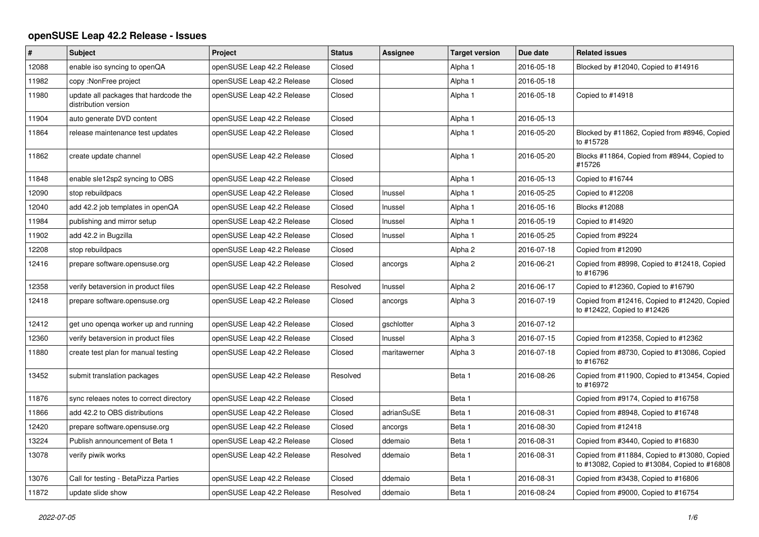## **openSUSE Leap 42.2 Release - Issues**

| $\pmb{\#}$ | Subject                                                       | Project                    | <b>Status</b> | <b>Assignee</b> | <b>Target version</b> | Due date   | <b>Related issues</b>                                                                         |
|------------|---------------------------------------------------------------|----------------------------|---------------|-----------------|-----------------------|------------|-----------------------------------------------------------------------------------------------|
| 12088      | enable iso syncing to openQA                                  | openSUSE Leap 42.2 Release | Closed        |                 | Alpha 1               | 2016-05-18 | Blocked by #12040, Copied to #14916                                                           |
| 11982      | copy: NonFree project                                         | openSUSE Leap 42.2 Release | Closed        |                 | Alpha 1               | 2016-05-18 |                                                                                               |
| 11980      | update all packages that hardcode the<br>distribution version | openSUSE Leap 42.2 Release | Closed        |                 | Alpha 1               | 2016-05-18 | Copied to #14918                                                                              |
| 11904      | auto generate DVD content                                     | openSUSE Leap 42.2 Release | Closed        |                 | Alpha 1               | 2016-05-13 |                                                                                               |
| 11864      | release maintenance test updates                              | openSUSE Leap 42.2 Release | Closed        |                 | Alpha 1               | 2016-05-20 | Blocked by #11862, Copied from #8946, Copied<br>to #15728                                     |
| 11862      | create update channel                                         | openSUSE Leap 42.2 Release | Closed        |                 | Alpha 1               | 2016-05-20 | Blocks #11864, Copied from #8944, Copied to<br>#15726                                         |
| 11848      | enable sle12sp2 syncing to OBS                                | openSUSE Leap 42.2 Release | Closed        |                 | Alpha 1               | 2016-05-13 | Copied to #16744                                                                              |
| 12090      | stop rebuildpacs                                              | openSUSE Leap 42.2 Release | Closed        | Inussel         | Alpha 1               | 2016-05-25 | Copied to #12208                                                                              |
| 12040      | add 42.2 job templates in openQA                              | openSUSE Leap 42.2 Release | Closed        | Inussel         | Alpha 1               | 2016-05-16 | Blocks #12088                                                                                 |
| 11984      | publishing and mirror setup                                   | openSUSE Leap 42.2 Release | Closed        | Inussel         | Alpha 1               | 2016-05-19 | Copied to #14920                                                                              |
| 11902      | add 42.2 in Bugzilla                                          | openSUSE Leap 42.2 Release | Closed        | Inussel         | Alpha 1               | 2016-05-25 | Copied from #9224                                                                             |
| 12208      | stop rebuildpacs                                              | openSUSE Leap 42.2 Release | Closed        |                 | Alpha <sub>2</sub>    | 2016-07-18 | Copied from #12090                                                                            |
| 12416      | prepare software.opensuse.org                                 | openSUSE Leap 42.2 Release | Closed        | ancorgs         | Alpha 2               | 2016-06-21 | Copied from #8998, Copied to #12418, Copied<br>to #16796                                      |
| 12358      | verify betaversion in product files                           | openSUSE Leap 42.2 Release | Resolved      | Inussel         | Alpha <sub>2</sub>    | 2016-06-17 | Copied to #12360, Copied to #16790                                                            |
| 12418      | prepare software.opensuse.org                                 | openSUSE Leap 42.2 Release | Closed        | ancorgs         | Alpha 3               | 2016-07-19 | Copied from #12416, Copied to #12420, Copied<br>to #12422, Copied to #12426                   |
| 12412      | get uno openga worker up and running                          | openSUSE Leap 42.2 Release | Closed        | gschlotter      | Alpha 3               | 2016-07-12 |                                                                                               |
| 12360      | verify betaversion in product files                           | openSUSE Leap 42.2 Release | Closed        | Inussel         | Alpha 3               | 2016-07-15 | Copied from #12358, Copied to #12362                                                          |
| 11880      | create test plan for manual testing                           | openSUSE Leap 42.2 Release | Closed        | maritawerner    | Alpha 3               | 2016-07-18 | Copied from #8730, Copied to #13086, Copied<br>to #16762                                      |
| 13452      | submit translation packages                                   | openSUSE Leap 42.2 Release | Resolved      |                 | Beta 1                | 2016-08-26 | Copied from #11900, Copied to #13454, Copied<br>to #16972                                     |
| 11876      | sync releaes notes to correct directory                       | openSUSE Leap 42.2 Release | Closed        |                 | Beta 1                |            | Copied from #9174, Copied to #16758                                                           |
| 11866      | add 42.2 to OBS distributions                                 | openSUSE Leap 42.2 Release | Closed        | adrianSuSE      | Beta 1                | 2016-08-31 | Copied from #8948, Copied to #16748                                                           |
| 12420      | prepare software.opensuse.org                                 | openSUSE Leap 42.2 Release | Closed        | ancorgs         | Beta 1                | 2016-08-30 | Copied from #12418                                                                            |
| 13224      | Publish announcement of Beta 1                                | openSUSE Leap 42.2 Release | Closed        | ddemaio         | Beta 1                | 2016-08-31 | Copied from #3440, Copied to #16830                                                           |
| 13078      | verify piwik works                                            | openSUSE Leap 42.2 Release | Resolved      | ddemaio         | Beta 1                | 2016-08-31 | Copied from #11884, Copied to #13080, Copied<br>to #13082, Copied to #13084, Copied to #16808 |
| 13076      | Call for testing - BetaPizza Parties                          | openSUSE Leap 42.2 Release | Closed        | ddemaio         | Beta 1                | 2016-08-31 | Copied from #3438, Copied to #16806                                                           |
| 11872      | update slide show                                             | openSUSE Leap 42.2 Release | Resolved      | ddemaio         | Beta 1                | 2016-08-24 | Copied from #9000, Copied to #16754                                                           |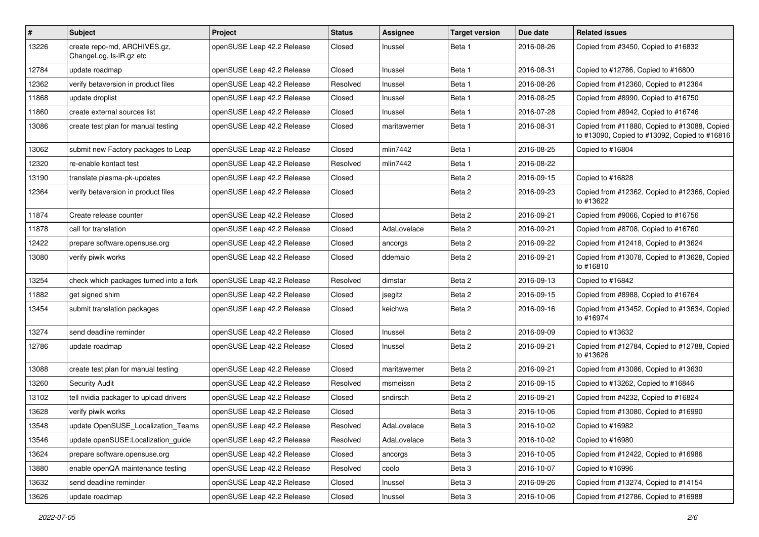| #     | <b>Subject</b>                                          | <b>Project</b>             | <b>Status</b> | Assignee     | <b>Target version</b> | Due date   | <b>Related issues</b>                                                                         |
|-------|---------------------------------------------------------|----------------------------|---------------|--------------|-----------------------|------------|-----------------------------------------------------------------------------------------------|
| 13226 | create repo-md, ARCHIVES.gz,<br>ChangeLog, Is-IR.gz etc | openSUSE Leap 42.2 Release | Closed        | Inussel      | Beta 1                | 2016-08-26 | Copied from #3450, Copied to #16832                                                           |
| 12784 | update roadmap                                          | openSUSE Leap 42.2 Release | Closed        | Inussel      | Beta 1                | 2016-08-31 | Copied to #12786, Copied to #16800                                                            |
| 12362 | verify betaversion in product files                     | openSUSE Leap 42.2 Release | Resolved      | Inussel      | Beta 1                | 2016-08-26 | Copied from #12360, Copied to #12364                                                          |
| 11868 | update droplist                                         | openSUSE Leap 42.2 Release | Closed        | Inussel      | Beta 1                | 2016-08-25 | Copied from #8990, Copied to #16750                                                           |
| 11860 | create external sources list                            | openSUSE Leap 42.2 Release | Closed        | Inussel      | Beta 1                | 2016-07-28 | Copied from #8942, Copied to #16746                                                           |
| 13086 | create test plan for manual testing                     | openSUSE Leap 42.2 Release | Closed        | maritawerner | Beta 1                | 2016-08-31 | Copied from #11880, Copied to #13088, Copied<br>to #13090, Copied to #13092, Copied to #16816 |
| 13062 | submit new Factory packages to Leap                     | openSUSE Leap 42.2 Release | Closed        | mlin7442     | Beta 1                | 2016-08-25 | Copied to #16804                                                                              |
| 12320 | re-enable kontact test                                  | openSUSE Leap 42.2 Release | Resolved      | mlin7442     | Beta 1                | 2016-08-22 |                                                                                               |
| 13190 | translate plasma-pk-updates                             | openSUSE Leap 42.2 Release | Closed        |              | Beta 2                | 2016-09-15 | Copied to #16828                                                                              |
| 12364 | verify betaversion in product files                     | openSUSE Leap 42.2 Release | Closed        |              | Beta 2                | 2016-09-23 | Copied from #12362, Copied to #12366, Copied<br>to #13622                                     |
| 11874 | Create release counter                                  | openSUSE Leap 42.2 Release | Closed        |              | Beta 2                | 2016-09-21 | Copied from #9066, Copied to #16756                                                           |
| 11878 | call for translation                                    | openSUSE Leap 42.2 Release | Closed        | AdaLovelace  | Beta 2                | 2016-09-21 | Copied from #8708, Copied to #16760                                                           |
| 12422 | prepare software.opensuse.org                           | openSUSE Leap 42.2 Release | Closed        | ancorgs      | Beta 2                | 2016-09-22 | Copied from #12418, Copied to #13624                                                          |
| 13080 | verify piwik works                                      | openSUSE Leap 42.2 Release | Closed        | ddemaio      | Beta 2                | 2016-09-21 | Copied from #13078, Copied to #13628, Copied<br>to #16810                                     |
| 13254 | check which packages turned into a fork                 | openSUSE Leap 42.2 Release | Resolved      | dimstar      | Beta 2                | 2016-09-13 | Copied to #16842                                                                              |
| 11882 | get signed shim                                         | openSUSE Leap 42.2 Release | Closed        | jsegitz      | Beta 2                | 2016-09-15 | Copied from #8988, Copied to #16764                                                           |
| 13454 | submit translation packages                             | openSUSE Leap 42.2 Release | Closed        | keichwa      | Beta 2                | 2016-09-16 | Copied from #13452, Copied to #13634, Copied<br>to #16974                                     |
| 13274 | send deadline reminder                                  | openSUSE Leap 42.2 Release | Closed        | Inussel      | Beta 2                | 2016-09-09 | Copied to #13632                                                                              |
| 12786 | update roadmap                                          | openSUSE Leap 42.2 Release | Closed        | Inussel      | Beta 2                | 2016-09-21 | Copied from #12784, Copied to #12788, Copied<br>to #13626                                     |
| 13088 | create test plan for manual testing                     | openSUSE Leap 42.2 Release | Closed        | maritawerner | Beta 2                | 2016-09-21 | Copied from #13086, Copied to #13630                                                          |
| 13260 | <b>Security Audit</b>                                   | openSUSE Leap 42.2 Release | Resolved      | msmeissn     | Beta 2                | 2016-09-15 | Copied to #13262, Copied to #16846                                                            |
| 13102 | tell nvidia packager to upload drivers                  | openSUSE Leap 42.2 Release | Closed        | sndirsch     | Beta 2                | 2016-09-21 | Copied from #4232, Copied to #16824                                                           |
| 13628 | verify piwik works                                      | openSUSE Leap 42.2 Release | Closed        |              | Beta <sub>3</sub>     | 2016-10-06 | Copied from #13080, Copied to #16990                                                          |
| 13548 | update OpenSUSE Localization Teams                      | openSUSE Leap 42.2 Release | Resolved      | AdaLovelace  | Beta 3                | 2016-10-02 | Copied to #16982                                                                              |
| 13546 | update openSUSE:Localization_guide                      | openSUSE Leap 42.2 Release | Resolved      | AdaLovelace  | Beta 3                | 2016-10-02 | Copied to #16980                                                                              |
| 13624 | prepare software.opensuse.org                           | openSUSE Leap 42.2 Release | Closed        | ancorgs      | Beta 3                | 2016-10-05 | Copied from #12422, Copied to #16986                                                          |
| 13880 | enable openQA maintenance testing                       | openSUSE Leap 42.2 Release | Resolved      | coolo        | Beta 3                | 2016-10-07 | Copied to #16996                                                                              |
| 13632 | send deadline reminder                                  | openSUSE Leap 42.2 Release | Closed        | Inussel      | Beta 3                | 2016-09-26 | Copied from #13274, Copied to #14154                                                          |
| 13626 | update roadmap                                          | openSUSE Leap 42.2 Release | Closed        | Inussel      | Beta 3                | 2016-10-06 | Copied from #12786, Copied to #16988                                                          |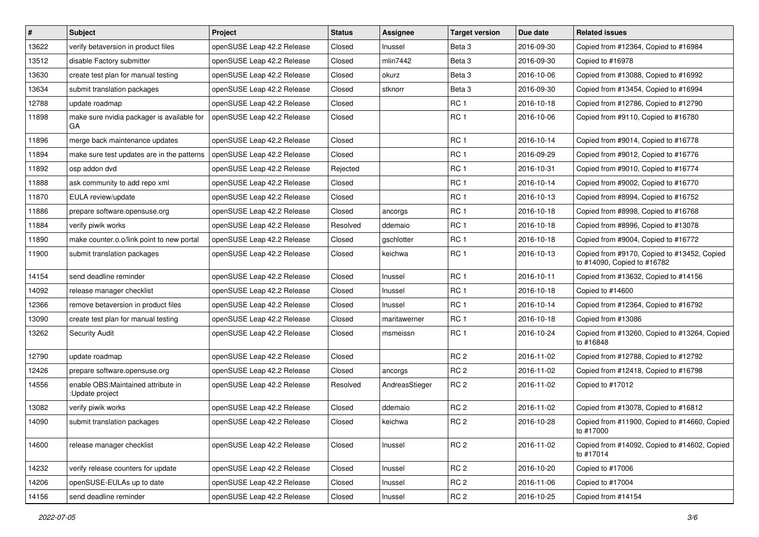| $\vert$ # | Subject                                                | Project                    | <b>Status</b> | Assignee       | <b>Target version</b> | Due date   | <b>Related issues</b>                                                      |
|-----------|--------------------------------------------------------|----------------------------|---------------|----------------|-----------------------|------------|----------------------------------------------------------------------------|
| 13622     | verify betaversion in product files                    | openSUSE Leap 42.2 Release | Closed        | Inussel        | Beta <sub>3</sub>     | 2016-09-30 | Copied from #12364, Copied to #16984                                       |
| 13512     | disable Factory submitter                              | openSUSE Leap 42.2 Release | Closed        | mlin7442       | Beta <sub>3</sub>     | 2016-09-30 | Copied to #16978                                                           |
| 13630     | create test plan for manual testing                    | openSUSE Leap 42.2 Release | Closed        | okurz          | Beta 3                | 2016-10-06 | Copied from #13088, Copied to #16992                                       |
| 13634     | submit translation packages                            | openSUSE Leap 42.2 Release | Closed        | stknorr        | Beta <sub>3</sub>     | 2016-09-30 | Copied from #13454, Copied to #16994                                       |
| 12788     | update roadmap                                         | openSUSE Leap 42.2 Release | Closed        |                | RC <sub>1</sub>       | 2016-10-18 | Copied from #12786, Copied to #12790                                       |
| 11898     | make sure nvidia packager is available for<br>GА       | openSUSE Leap 42.2 Release | Closed        |                | RC <sub>1</sub>       | 2016-10-06 | Copied from #9110, Copied to #16780                                        |
| 11896     | merge back maintenance updates                         | openSUSE Leap 42.2 Release | Closed        |                | RC <sub>1</sub>       | 2016-10-14 | Copied from #9014, Copied to #16778                                        |
| 11894     | make sure test updates are in the patterns             | openSUSE Leap 42.2 Release | Closed        |                | RC <sub>1</sub>       | 2016-09-29 | Copied from #9012, Copied to #16776                                        |
| 11892     | osp addon dvd                                          | openSUSE Leap 42.2 Release | Rejected      |                | RC <sub>1</sub>       | 2016-10-31 | Copied from #9010, Copied to #16774                                        |
| 11888     | ask community to add repo xml                          | openSUSE Leap 42.2 Release | Closed        |                | RC <sub>1</sub>       | 2016-10-14 | Copied from #9002, Copied to #16770                                        |
| 11870     | EULA review/update                                     | openSUSE Leap 42.2 Release | Closed        |                | RC <sub>1</sub>       | 2016-10-13 | Copied from #8994, Copied to #16752                                        |
| 11886     | prepare software.opensuse.org                          | openSUSE Leap 42.2 Release | Closed        | ancorgs        | RC <sub>1</sub>       | 2016-10-18 | Copied from #8998, Copied to #16768                                        |
| 11884     | verify piwik works                                     | openSUSE Leap 42.2 Release | Resolved      | ddemaio        | RC <sub>1</sub>       | 2016-10-18 | Copied from #8996, Copied to #13078                                        |
| 11890     | make counter.o.o/link point to new portal              | openSUSE Leap 42.2 Release | Closed        | gschlotter     | RC <sub>1</sub>       | 2016-10-18 | Copied from #9004, Copied to #16772                                        |
| 11900     | submit translation packages                            | openSUSE Leap 42.2 Release | Closed        | keichwa        | RC <sub>1</sub>       | 2016-10-13 | Copied from #9170, Copied to #13452, Copied<br>to #14090, Copied to #16782 |
| 14154     | send deadline reminder                                 | openSUSE Leap 42.2 Release | Closed        | Inussel        | RC <sub>1</sub>       | 2016-10-11 | Copied from #13632, Copied to #14156                                       |
| 14092     | release manager checklist                              | openSUSE Leap 42.2 Release | Closed        | Inussel        | RC <sub>1</sub>       | 2016-10-18 | Copied to #14600                                                           |
| 12366     | remove betaversion in product files                    | openSUSE Leap 42.2 Release | Closed        | Inussel        | RC <sub>1</sub>       | 2016-10-14 | Copied from #12364, Copied to #16792                                       |
| 13090     | create test plan for manual testing                    | openSUSE Leap 42.2 Release | Closed        | maritawerner   | RC <sub>1</sub>       | 2016-10-18 | Copied from #13086                                                         |
| 13262     | <b>Security Audit</b>                                  | openSUSE Leap 42.2 Release | Closed        | msmeissn       | RC <sub>1</sub>       | 2016-10-24 | Copied from #13260, Copied to #13264, Copied<br>to #16848                  |
| 12790     | update roadmap                                         | openSUSE Leap 42.2 Release | Closed        |                | RC <sub>2</sub>       | 2016-11-02 | Copied from #12788, Copied to #12792                                       |
| 12426     | prepare software.opensuse.org                          | openSUSE Leap 42.2 Release | Closed        | ancorgs        | RC <sub>2</sub>       | 2016-11-02 | Copied from #12418, Copied to #16798                                       |
| 14556     | enable OBS: Maintained attribute in<br>:Update project | openSUSE Leap 42.2 Release | Resolved      | AndreasStieger | RC <sub>2</sub>       | 2016-11-02 | Copied to #17012                                                           |
| 13082     | verify piwik works                                     | openSUSE Leap 42.2 Release | Closed        | ddemaio        | RC <sub>2</sub>       | 2016-11-02 | Copied from #13078, Copied to #16812                                       |
| 14090     | submit translation packages                            | openSUSE Leap 42.2 Release | Closed        | keichwa        | RC <sub>2</sub>       | 2016-10-28 | Copied from #11900, Copied to #14660, Copied<br>to #17000                  |
| 14600     | release manager checklist                              | openSUSE Leap 42.2 Release | Closed        | Inussel        | RC <sub>2</sub>       | 2016-11-02 | Copied from #14092, Copied to #14602, Copied<br>to #17014                  |
| 14232     | verify release counters for update                     | openSUSE Leap 42.2 Release | Closed        | Inussel        | RC <sub>2</sub>       | 2016-10-20 | Copied to #17006                                                           |
| 14206     | openSUSE-EULAs up to date                              | openSUSE Leap 42.2 Release | Closed        | Inussel        | RC <sub>2</sub>       | 2016-11-06 | Copied to #17004                                                           |
| 14156     | send deadline reminder                                 | openSUSE Leap 42.2 Release | Closed        | Inussel        | RC <sub>2</sub>       | 2016-10-25 | Copied from #14154                                                         |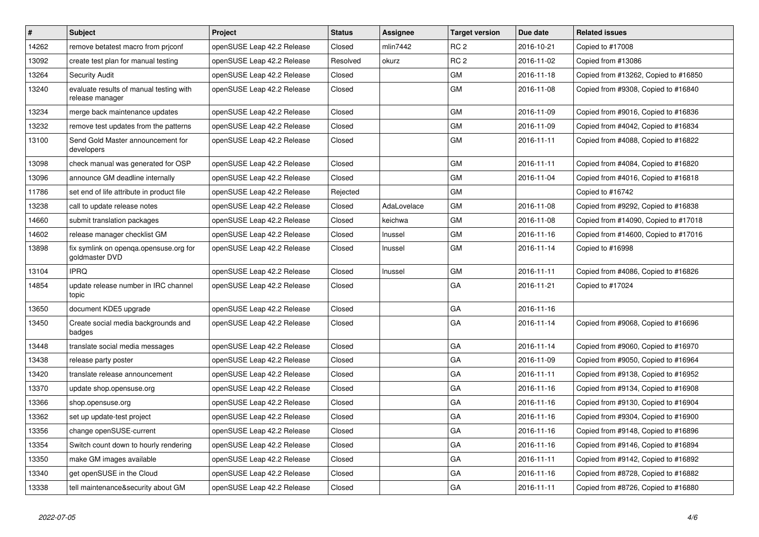| $\vert$ # | <b>Subject</b>                                             | <b>Project</b>             | <b>Status</b> | <b>Assignee</b> | <b>Target version</b> | Due date   | <b>Related issues</b>                |
|-----------|------------------------------------------------------------|----------------------------|---------------|-----------------|-----------------------|------------|--------------------------------------|
| 14262     | remove betatest macro from priconf                         | openSUSE Leap 42.2 Release | Closed        | mlin7442        | RC <sub>2</sub>       | 2016-10-21 | Copied to #17008                     |
| 13092     | create test plan for manual testing                        | openSUSE Leap 42.2 Release | Resolved      | okurz           | RC <sub>2</sub>       | 2016-11-02 | Copied from #13086                   |
| 13264     | <b>Security Audit</b>                                      | openSUSE Leap 42.2 Release | Closed        |                 | GM                    | 2016-11-18 | Copied from #13262, Copied to #16850 |
| 13240     | evaluate results of manual testing with<br>release manager | openSUSE Leap 42.2 Release | Closed        |                 | <b>GM</b>             | 2016-11-08 | Copied from #9308, Copied to #16840  |
| 13234     | merge back maintenance updates                             | openSUSE Leap 42.2 Release | Closed        |                 | GM                    | 2016-11-09 | Copied from #9016, Copied to #16836  |
| 13232     | remove test updates from the patterns                      | openSUSE Leap 42.2 Release | Closed        |                 | GM                    | 2016-11-09 | Copied from #4042, Copied to #16834  |
| 13100     | Send Gold Master announcement for<br>developers            | openSUSE Leap 42.2 Release | Closed        |                 | GM                    | 2016-11-11 | Copied from #4088, Copied to #16822  |
| 13098     | check manual was generated for OSP                         | openSUSE Leap 42.2 Release | Closed        |                 | GM                    | 2016-11-11 | Copied from #4084, Copied to #16820  |
| 13096     | announce GM deadline internally                            | openSUSE Leap 42.2 Release | Closed        |                 | GM                    | 2016-11-04 | Copied from #4016, Copied to #16818  |
| 11786     | set end of life attribute in product file                  | openSUSE Leap 42.2 Release | Rejected      |                 | <b>GM</b>             |            | Copied to #16742                     |
| 13238     | call to update release notes                               | openSUSE Leap 42.2 Release | Closed        | AdaLovelace     | GM                    | 2016-11-08 | Copied from #9292, Copied to #16838  |
| 14660     | submit translation packages                                | openSUSE Leap 42.2 Release | Closed        | keichwa         | GM                    | 2016-11-08 | Copied from #14090, Copied to #17018 |
| 14602     | release manager checklist GM                               | openSUSE Leap 42.2 Release | Closed        | Inussel         | GM                    | 2016-11-16 | Copied from #14600, Copied to #17016 |
| 13898     | fix symlink on openqa.opensuse.org for<br>goldmaster DVD   | openSUSE Leap 42.2 Release | Closed        | Inussel         | <b>GM</b>             | 2016-11-14 | Copied to #16998                     |
| 13104     | <b>IPRQ</b>                                                | openSUSE Leap 42.2 Release | Closed        | Inussel         | GM                    | 2016-11-11 | Copied from #4086, Copied to #16826  |
| 14854     | update release number in IRC channel<br>topic              | openSUSE Leap 42.2 Release | Closed        |                 | GA                    | 2016-11-21 | Copied to #17024                     |
| 13650     | document KDE5 upgrade                                      | openSUSE Leap 42.2 Release | Closed        |                 | GА                    | 2016-11-16 |                                      |
| 13450     | Create social media backgrounds and<br>badges              | openSUSE Leap 42.2 Release | Closed        |                 | GA                    | 2016-11-14 | Copied from #9068, Copied to #16696  |
| 13448     | translate social media messages                            | openSUSE Leap 42.2 Release | Closed        |                 | GA                    | 2016-11-14 | Copied from #9060, Copied to #16970  |
| 13438     | release party poster                                       | openSUSE Leap 42.2 Release | Closed        |                 | GA                    | 2016-11-09 | Copied from #9050, Copied to #16964  |
| 13420     | translate release announcement                             | openSUSE Leap 42.2 Release | Closed        |                 | GA                    | 2016-11-11 | Copied from #9138, Copied to #16952  |
| 13370     | update shop.opensuse.org                                   | openSUSE Leap 42.2 Release | Closed        |                 | GA                    | 2016-11-16 | Copied from #9134, Copied to #16908  |
| 13366     | shop.opensuse.org                                          | openSUSE Leap 42.2 Release | Closed        |                 | GA                    | 2016-11-16 | Copied from #9130, Copied to #16904  |
| 13362     | set up update-test project                                 | openSUSE Leap 42.2 Release | Closed        |                 | GA                    | 2016-11-16 | Copied from #9304, Copied to #16900  |
| 13356     | change openSUSE-current                                    | openSUSE Leap 42.2 Release | Closed        |                 | GA                    | 2016-11-16 | Copied from #9148, Copied to #16896  |
| 13354     | Switch count down to hourly rendering                      | openSUSE Leap 42.2 Release | Closed        |                 | GA                    | 2016-11-16 | Copied from #9146, Copied to #16894  |
| 13350     | make GM images available                                   | openSUSE Leap 42.2 Release | Closed        |                 | GA                    | 2016-11-11 | Copied from #9142, Copied to #16892  |
| 13340     | get openSUSE in the Cloud                                  | openSUSE Leap 42.2 Release | Closed        |                 | GA                    | 2016-11-16 | Copied from #8728, Copied to #16882  |
| 13338     | tell maintenance&security about GM                         | openSUSE Leap 42.2 Release | Closed        |                 | GA                    | 2016-11-11 | Copied from #8726, Copied to #16880  |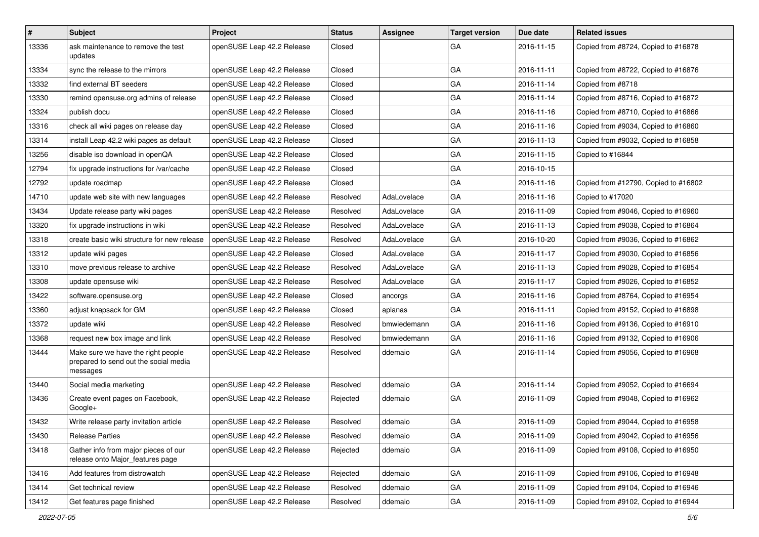| $\sharp$ | <b>Subject</b>                                                                          | Project                    | <b>Status</b> | Assignee    | <b>Target version</b> | Due date   | <b>Related issues</b>                |
|----------|-----------------------------------------------------------------------------------------|----------------------------|---------------|-------------|-----------------------|------------|--------------------------------------|
| 13336    | ask maintenance to remove the test<br>updates                                           | openSUSE Leap 42.2 Release | Closed        |             | GA                    | 2016-11-15 | Copied from #8724, Copied to #16878  |
| 13334    | sync the release to the mirrors                                                         | openSUSE Leap 42.2 Release | Closed        |             | GA                    | 2016-11-11 | Copied from #8722, Copied to #16876  |
| 13332    | find external BT seeders                                                                | openSUSE Leap 42.2 Release | Closed        |             | GA                    | 2016-11-14 | Copied from #8718                    |
| 13330    | remind opensuse.org admins of release                                                   | openSUSE Leap 42.2 Release | Closed        |             | GA                    | 2016-11-14 | Copied from #8716, Copied to #16872  |
| 13324    | publish docu                                                                            | openSUSE Leap 42.2 Release | Closed        |             | GA                    | 2016-11-16 | Copied from #8710, Copied to #16866  |
| 13316    | check all wiki pages on release day                                                     | openSUSE Leap 42.2 Release | Closed        |             | GA                    | 2016-11-16 | Copied from #9034, Copied to #16860  |
| 13314    | install Leap 42.2 wiki pages as default                                                 | openSUSE Leap 42.2 Release | Closed        |             | GA                    | 2016-11-13 | Copied from #9032, Copied to #16858  |
| 13256    | disable iso download in openQA                                                          | openSUSE Leap 42.2 Release | Closed        |             | GA                    | 2016-11-15 | Copied to #16844                     |
| 12794    | fix upgrade instructions for /var/cache                                                 | openSUSE Leap 42.2 Release | Closed        |             | GA                    | 2016-10-15 |                                      |
| 12792    | update roadmap                                                                          | openSUSE Leap 42.2 Release | Closed        |             | GA                    | 2016-11-16 | Copied from #12790, Copied to #16802 |
| 14710    | update web site with new languages                                                      | openSUSE Leap 42.2 Release | Resolved      | AdaLovelace | GA                    | 2016-11-16 | Copied to #17020                     |
| 13434    | Update release party wiki pages                                                         | openSUSE Leap 42.2 Release | Resolved      | AdaLovelace | GA                    | 2016-11-09 | Copied from #9046, Copied to #16960  |
| 13320    | fix upgrade instructions in wiki                                                        | openSUSE Leap 42.2 Release | Resolved      | AdaLovelace | GA                    | 2016-11-13 | Copied from #9038, Copied to #16864  |
| 13318    | create basic wiki structure for new release                                             | openSUSE Leap 42.2 Release | Resolved      | AdaLovelace | GA                    | 2016-10-20 | Copied from #9036, Copied to #16862  |
| 13312    | update wiki pages                                                                       | openSUSE Leap 42.2 Release | Closed        | AdaLovelace | GA                    | 2016-11-17 | Copied from #9030, Copied to #16856  |
| 13310    | move previous release to archive                                                        | openSUSE Leap 42.2 Release | Resolved      | AdaLovelace | GA                    | 2016-11-13 | Copied from #9028, Copied to #16854  |
| 13308    | update opensuse wiki                                                                    | openSUSE Leap 42.2 Release | Resolved      | AdaLovelace | GA                    | 2016-11-17 | Copied from #9026, Copied to #16852  |
| 13422    | software.opensuse.org                                                                   | openSUSE Leap 42.2 Release | Closed        | ancorgs     | GA                    | 2016-11-16 | Copied from #8764, Copied to #16954  |
| 13360    | adjust knapsack for GM                                                                  | openSUSE Leap 42.2 Release | Closed        | aplanas     | GA                    | 2016-11-11 | Copied from #9152, Copied to #16898  |
| 13372    | update wiki                                                                             | openSUSE Leap 42.2 Release | Resolved      | bmwiedemann | GA                    | 2016-11-16 | Copied from #9136, Copied to #16910  |
| 13368    | request new box image and link                                                          | openSUSE Leap 42.2 Release | Resolved      | bmwiedemann | GA                    | 2016-11-16 | Copied from #9132, Copied to #16906  |
| 13444    | Make sure we have the right people<br>prepared to send out the social media<br>messages | openSUSE Leap 42.2 Release | Resolved      | ddemaio     | GA                    | 2016-11-14 | Copied from #9056, Copied to #16968  |
| 13440    | Social media marketing                                                                  | openSUSE Leap 42.2 Release | Resolved      | ddemaio     | GA                    | 2016-11-14 | Copied from #9052, Copied to #16694  |
| 13436    | Create event pages on Facebook,<br>Google+                                              | openSUSE Leap 42.2 Release | Rejected      | ddemaio     | GA                    | 2016-11-09 | Copied from #9048, Copied to #16962  |
| 13432    | Write release party invitation article                                                  | openSUSE Leap 42.2 Release | Resolved      | ddemaio     | GA                    | 2016-11-09 | Copied from #9044, Copied to #16958  |
| 13430    | <b>Release Parties</b>                                                                  | openSUSE Leap 42.2 Release | Resolved      | ddemaio     | GA                    | 2016-11-09 | Copied from #9042, Copied to #16956  |
| 13418    | Gather info from major pieces of our<br>release onto Major_features page                | openSUSE Leap 42.2 Release | Rejected      | ddemaio     | GA                    | 2016-11-09 | Copied from #9108, Copied to #16950  |
| 13416    | Add features from distrowatch                                                           | openSUSE Leap 42.2 Release | Rejected      | ddemaio     | GA                    | 2016-11-09 | Copied from #9106, Copied to #16948  |
| 13414    | Get technical review                                                                    | openSUSE Leap 42.2 Release | Resolved      | ddemaio     | GA                    | 2016-11-09 | Copied from #9104, Copied to #16946  |
| 13412    | Get features page finished                                                              | openSUSE Leap 42.2 Release | Resolved      | ddemaio     | $\mathsf{GA}$         | 2016-11-09 | Copied from #9102, Copied to #16944  |